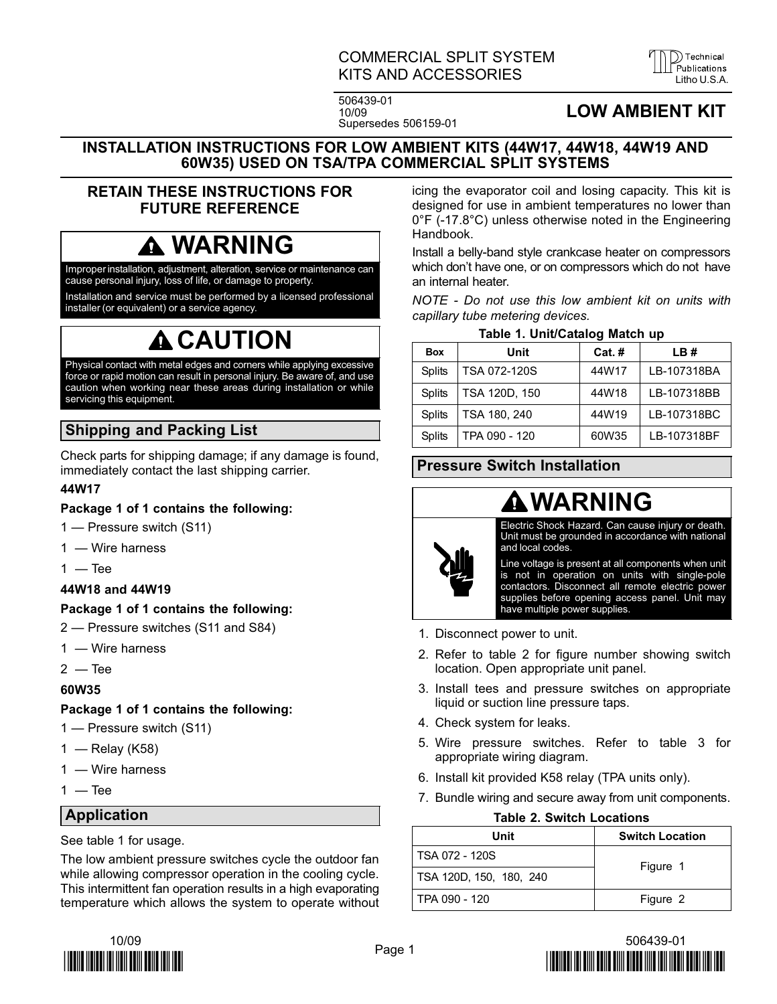### COMMERCIAL SPLIT SYSTEM **KITS AND ACCESSORIES**



506439−01 10/09 Supersedes 506159−01

## LOW AMBIENT KIT

#### INSTALLATION INSTRUCTIONS FOR LOW AMBIENT KITS (44W17, 44W18, 44W19 AND 60W35) USED ON TSA/TPA COMMERCIAL SPLIT SYSTEMS

### RETAIN THESE INSTRUCTIONS FOR FUTURE REFERENCE

## WARNING

Improper installation, adjustment, alteration, service or maintenance can cause personal injury, loss of life, or damage to property.

Installation and service must be performed by a licensed professional installer (or equivalent) or a service agency.

# **A** CAUTION

Physical contact with metal edges and corners while applying excessive force or rapid motion can result in personal injury. Be aware of, and use caution when working near these areas during installation or while servicing this equipment.

## Shipping and Packing List

Check parts for shipping damage; if any damage is found, immediately contact the last shipping carrier.

#### 44W17

#### Package 1 of 1 contains the following:

- 1 Pressure switch (S11)
- 1 Wire harness
- $1 -$ Tee

#### 44W18 and 44W19

#### Package 1 of 1 contains the following:

- 2 Pressure switches (S11 and S84)
- 1 Wire harness
- $2 -$  Tee

#### 60W35

#### Package 1 of 1 contains the following:

- 1 Pressure switch (S11)
- 1 Relay (K58)
- 1 Wire harness
- $1 -$ Tee

#### Application

See table 1 for usage.

The low ambient pressure switches cycle the outdoor fan while allowing compressor operation in the cooling cycle. This intermittent fan operation results in a high evaporating temperature which allows the system to operate without



icing the evaporator coil and losing capacity. This kit is designed for use in ambient temperatures no lower than 0°F (−17.8°C) unless otherwise noted in the Engineering Handbook.

Install a belly−band style crankcase heater on compressors which don't have one, or on compressors which do not have an internal heater.

NOTE − Do not use this low ambient kit on units with capillary tube metering devices.

#### Table 1. Unit/Catalog Match up

| <b>Box</b>    | Unit          | $Cat.$ # | LB#         |
|---------------|---------------|----------|-------------|
| <b>Splits</b> | TSA 072-120S  | 44W17    | LB-107318BA |
| <b>Splits</b> | TSA 120D, 150 | 44W18    | LB-107318BB |
| <b>Splits</b> | TSA 180, 240  | 44W19    | LB-107318BC |
| Splits        | TPA 090 - 120 | 60W35    | LB-107318BF |

## Pressure Switch Installation

## WARNING

Electric Shock Hazard. Can cause injury or death. Unit must be grounded in accordance with national and local codes.

Line voltage is present at all components when unit is not in operation on units with single-pole contactors. Disconnect all remote electric power supplies before opening access panel. Unit may have multiple power supplies.

- 1. Disconnect power to unit.
- 2. Refer to table 2 for figure number showing switch location. Open appropriate unit panel.
- 3. Install tees and pressure switches on appropriate liquid or suction line pressure taps.
- 4. Check system for leaks.
- 5. Wire pressure switches. Refer to table 3 for appropriate wiring diagram.
- 6. Install kit provided K58 relay (TPA units only).
- 7. Bundle wiring and secure away from unit components.

#### Table 2. Switch Locations

| Unit                    | <b>Switch Location</b> |  |
|-------------------------|------------------------|--|
| I TSA 072 - 120S        | Figure 1               |  |
| TSA 120D, 150, 180, 240 |                        |  |
| l TPA 090 - 120         | Figure 2               |  |

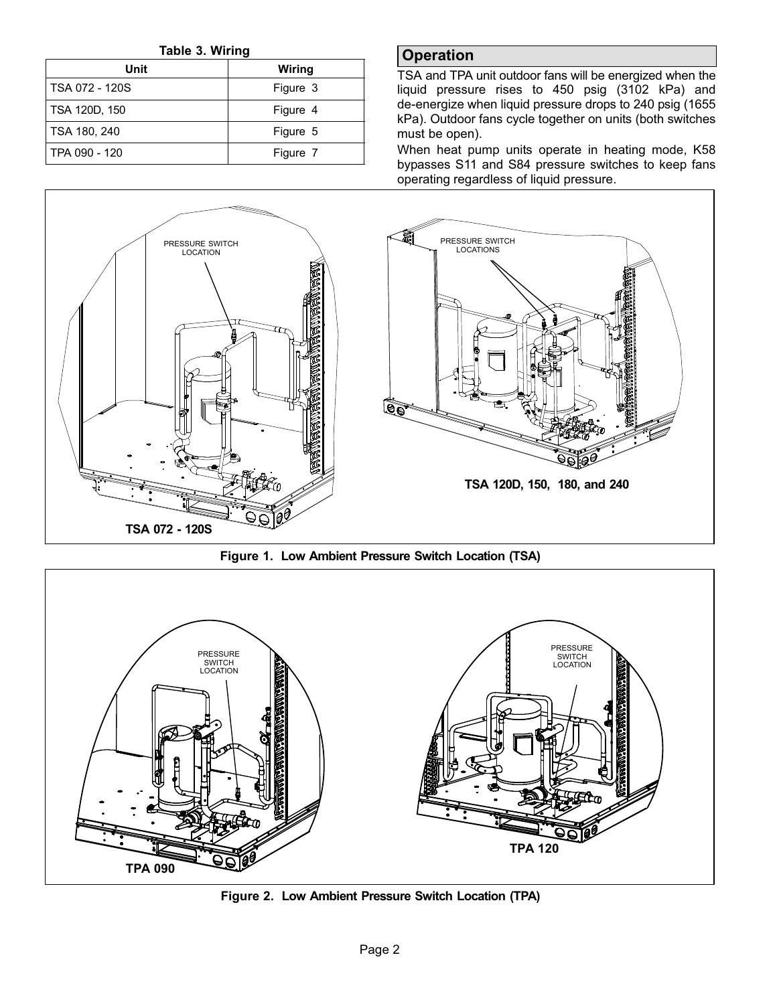Table 3. Wiring

<span id="page-1-0"></span>

| Unit           | Wiring   |  |
|----------------|----------|--|
| TSA 072 - 120S | Figure 3 |  |
| TSA 120D, 150  | Figure 4 |  |
| TSA 180, 240   | Figure 5 |  |
| TPA 090 - 120  | Figure 7 |  |

## **Operation**

TSA and TPA unit outdoor fans will be energized when the liquid pressure rises to 450 psig (3102 kPa) and de−energize when liquid pressure drops to 240 psig (1655 kPa). Outdoor fans cycle together on units (both switches must be open).

When heat pump units operate in heating mode, K58 bypasses S11 and S84 pressure switches to keep fans operating regardless of liquid pressure.



Figure 1. Low Ambient Pressure Switch Location (TSA)



Figure 2. Low Ambient Pressure Switch Location (TPA)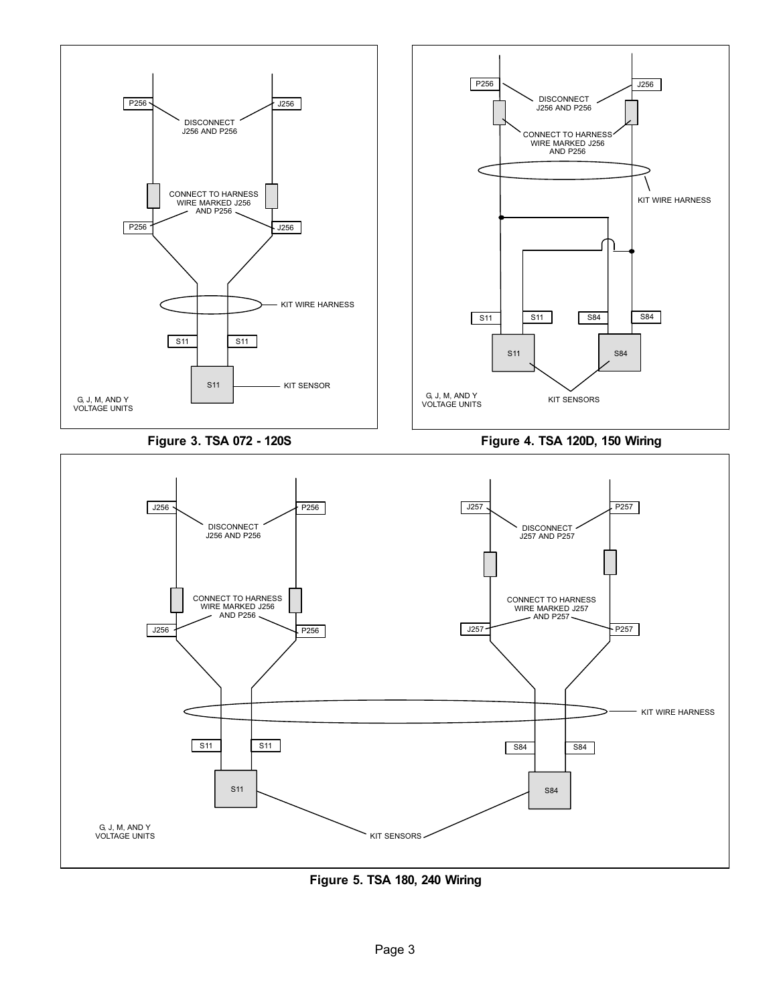<span id="page-2-0"></span>

Figure 5. TSA 180, 240 Wiring